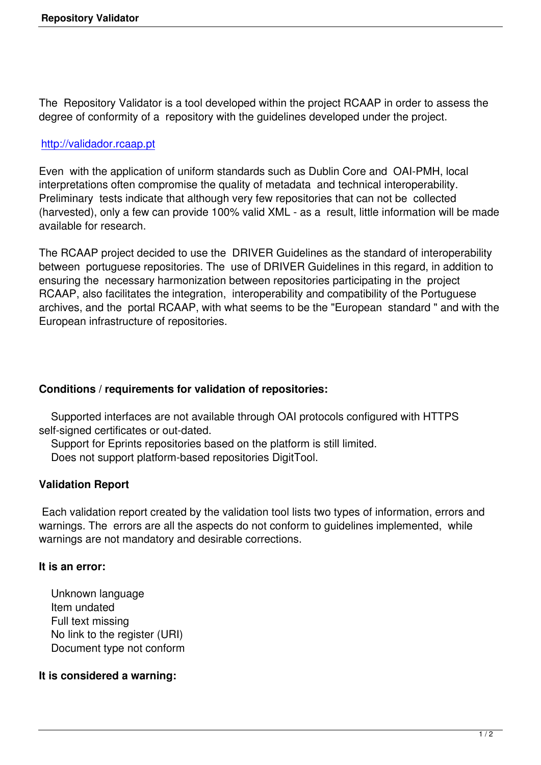The Repository Validator is a tool developed within the project RCAAP in order to assess the degree of conformity of a repository with the guidelines developed under the project.

# http://validador.rcaap.pt

Even with the application of uniform standards such as Dublin Core and OAI-PMH, local [interpretations often com](http://validador.rcaap.pt)promise the quality of metadata and technical interoperability. Preliminary tests indicate that although very few repositories that can not be collected (harvested), only a few can provide 100% valid XML - as a result, little information will be made available for research.

The RCAAP project decided to use the DRIVER Guidelines as the standard of interoperability between portuguese repositories. The use of DRIVER Guidelines in this regard, in addition to ensuring the necessary harmonization between repositories participating in the project RCAAP, also facilitates the integration, interoperability and compatibility of the Portuguese archives, and the portal RCAAP, with what seems to be the "European standard " and with the European infrastructure of repositories.

# **Conditions / requirements for validation of repositories:**

 Supported interfaces are not available through OAI protocols configured with HTTPS self-signed certificates or out-dated.

Support for Eprints repositories based on the platform is still limited.

Does not support platform-based repositories DigitTool.

# **Validation Report**

 Each validation report created by the validation tool lists two types of information, errors and warnings. The errors are all the aspects do not conform to guidelines implemented, while warnings are not mandatory and desirable corrections.

## **It is an error:**

 Unknown language Item undated Full text missing No link to the register (URI) Document type not conform

# **It is considered a warning:**